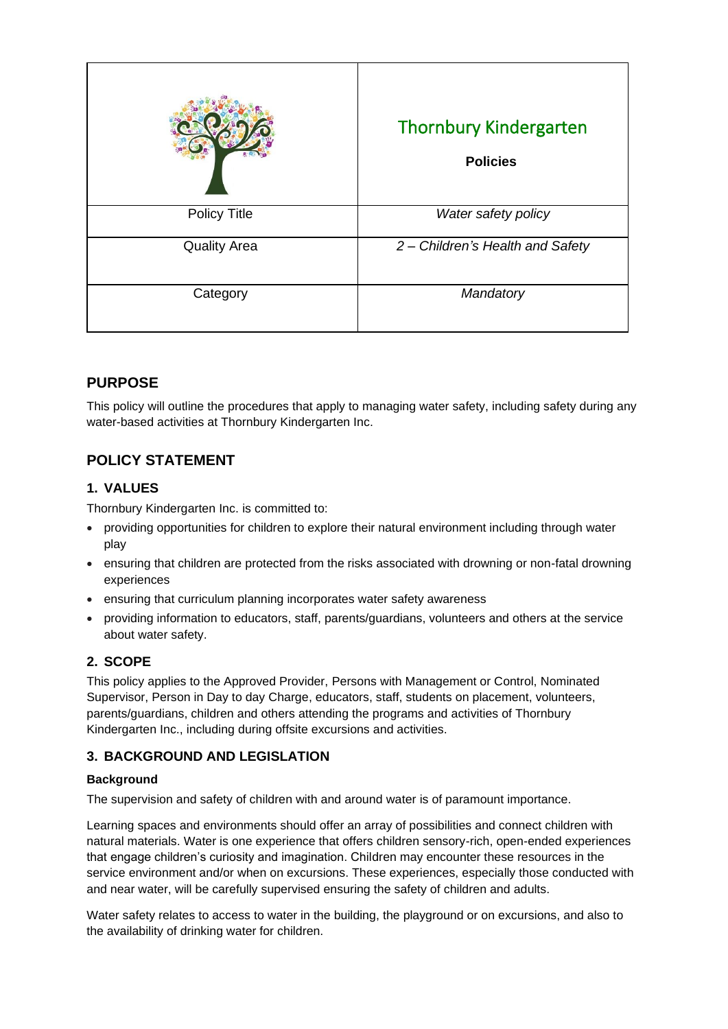|                     | <b>Thornbury Kindergarten</b><br><b>Policies</b> |
|---------------------|--------------------------------------------------|
| <b>Policy Title</b> | Water safety policy                              |
| <b>Quality Area</b> | 2 - Children's Health and Safety                 |
| Category            | Mandatory                                        |

## **PURPOSE**

This policy will outline the procedures that apply to managing water safety, including safety during any water-based activities at Thornbury Kindergarten Inc.

## **POLICY STATEMENT**

## **1. VALUES**

Thornbury Kindergarten Inc. is committed to:

- providing opportunities for children to explore their natural environment including through water play
- ensuring that children are protected from the risks associated with drowning or non-fatal drowning experiences
- ensuring that curriculum planning incorporates water safety awareness
- providing information to educators, staff, parents/guardians, volunteers and others at the service about water safety.

## **2. SCOPE**

This policy applies to the Approved Provider, Persons with Management or Control, Nominated Supervisor, Person in Day to day Charge, educators, staff, students on placement, volunteers, parents/guardians, children and others attending the programs and activities of Thornbury Kindergarten Inc., including during offsite excursions and activities.

## **3. BACKGROUND AND LEGISLATION**

## **Background**

The supervision and safety of children with and around water is of paramount importance.

Learning spaces and environments should offer an array of possibilities and connect children with natural materials. Water is one experience that offers children sensory-rich, open-ended experiences that engage children's curiosity and imagination. Children may encounter these resources in the service environment and/or when on excursions. These experiences, especially those conducted with and near water, will be carefully supervised ensuring the safety of children and adults.

Water safety relates to access to water in the building, the playground or on excursions, and also to the availability of drinking water for children.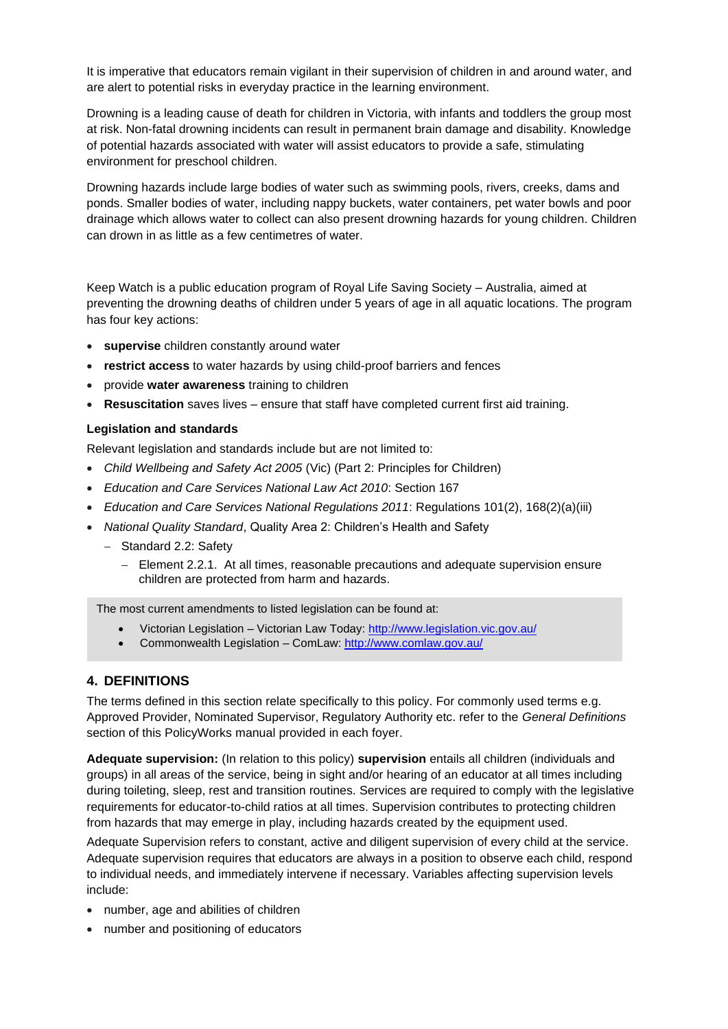It is imperative that educators remain vigilant in their supervision of children in and around water, and are alert to potential risks in everyday practice in the learning environment.

Drowning is a leading cause of death for children in Victoria, with infants and toddlers the group most at risk. Non-fatal drowning incidents can result in permanent brain damage and disability. Knowledge of potential hazards associated with water will assist educators to provide a safe, stimulating environment for preschool children.

Drowning hazards include large bodies of water such as swimming pools, rivers, creeks, dams and ponds. Smaller bodies of water, including nappy buckets, water containers, pet water bowls and poor drainage which allows water to collect can also present drowning hazards for young children. Children can drown in as little as a few centimetres of water.

Keep Watch is a public education program of Royal Life Saving Society – Australia, aimed at preventing the drowning deaths of children under 5 years of age in all aquatic locations. The program has four key actions:

- **supervise** children constantly around water
- **restrict access** to water hazards by using child-proof barriers and fences
- provide **water awareness** training to children
- **Resuscitation** saves lives ensure that staff have completed current first aid training.

#### **Legislation and standards**

Relevant legislation and standards include but are not limited to:

- *Child Wellbeing and Safety Act 2005* (Vic) (Part 2: Principles for Children)
- *Education and Care Services National Law Act 2010*: Section 167
- *Education and Care Services National Regulations 2011*: Regulations 101(2), 168(2)(a)(iii)
- *National Quality Standard*, Quality Area 2: Children's Health and Safety
	- − Standard 2.2: Safety
		- − Element 2.2.1. At all times, reasonable precautions and adequate supervision ensure children are protected from harm and hazards.

The most current amendments to listed legislation can be found at:

- Victorian Legislation Victorian Law Today:<http://www.legislation.vic.gov.au/>
- Commonwealth Legislation ComLaw:<http://www.comlaw.gov.au/>

### **4. DEFINITIONS**

The terms defined in this section relate specifically to this policy. For commonly used terms e.g. Approved Provider, Nominated Supervisor, Regulatory Authority etc. refer to the *General Definitions* section of this PolicyWorks manual provided in each foyer.

**Adequate supervision:** (In relation to this policy) **supervision** entails all children (individuals and groups) in all areas of the service, being in sight and/or hearing of an educator at all times including during toileting, sleep, rest and transition routines. Services are required to comply with the legislative requirements for educator-to-child ratios at all times. Supervision contributes to protecting children from hazards that may emerge in play, including hazards created by the equipment used.

Adequate Supervision refers to constant, active and diligent supervision of every child at the service. Adequate supervision requires that educators are always in a position to observe each child, respond to individual needs, and immediately intervene if necessary. Variables affecting supervision levels include:

- number, age and abilities of children
- number and positioning of educators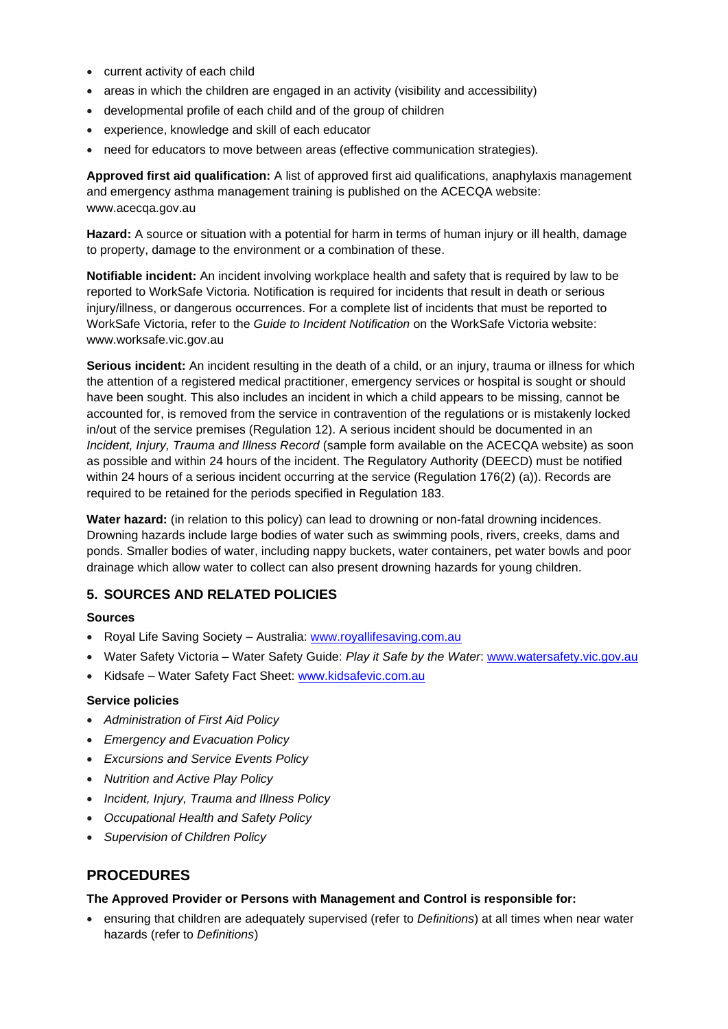- current activity of each child
- areas in which the children are engaged in an activity (visibility and accessibility)
- developmental profile of each child and of the group of children
- experience, knowledge and skill of each educator
- need for educators to move between areas (effective communication strategies).

**Approved first aid qualification:** A list of approved first aid qualifications, anaphylaxis management and emergency asthma management training is published on the ACECQA website: www.acecqa.gov.au

**Hazard:** A source or situation with a potential for harm in terms of human injury or ill health, damage to property, damage to the environment or a combination of these.

**Notifiable incident:** An incident involving workplace health and safety that is required by law to be reported to WorkSafe Victoria. Notification is required for incidents that result in death or serious injury/illness, or dangerous occurrences. For a complete list of incidents that must be reported to WorkSafe Victoria, refer to the *Guide to Incident Notification* on the WorkSafe Victoria website: www.worksafe.vic.gov.au

**Serious incident:** An incident resulting in the death of a child, or an injury, trauma or illness for which the attention of a registered medical practitioner, emergency services or hospital is sought or should have been sought. This also includes an incident in which a child appears to be missing, cannot be accounted for, is removed from the service in contravention of the regulations or is mistakenly locked in/out of the service premises (Regulation 12). A serious incident should be documented in an *Incident, Injury, Trauma and Illness Record* (sample form available on the ACECQA website) as soon as possible and within 24 hours of the incident. The Regulatory Authority (DEECD) must be notified within 24 hours of a serious incident occurring at the service (Regulation 176(2) (a)). Records are required to be retained for the periods specified in Regulation 183.

**Water hazard:** (in relation to this policy) can lead to drowning or non-fatal drowning incidences. Drowning hazards include large bodies of water such as swimming pools, rivers, creeks, dams and ponds. Smaller bodies of water, including nappy buckets, water containers, pet water bowls and poor drainage which allow water to collect can also present drowning hazards for young children.

### **5. SOURCES AND RELATED POLICIES**

#### **Sources**

- Royal Life Saving Society Australia: [www.royallifesaving.com.au](http://www.royallifesaving.com.au/)
- Water Safety Victoria Water Safety Guide: *Play it Safe by the Water*: [www.watersafety.vic.gov.au](http://www.watersafety.vic.gov.au/)
- Kidsafe Water Safety Fact Sheet: [www.kidsafevic.com.au](http://www.kidsafevic.com.au/)

### **Service policies**

- *Administration of First Aid Policy*
- *Emergency and Evacuation Policy*
- *Excursions and Service Events Policy*
- *Nutrition and Active Play Policy*
- *Incident, Injury, Trauma and Illness Policy*
- *Occupational Health and Safety Policy*
- *Supervision of Children Policy*

### **PROCEDURES**

#### **The Approved Provider or Persons with Management and Control is responsible for:**

• ensuring that children are adequately supervised (refer to *Definitions*) at all times when near water hazards (refer to *Definitions*)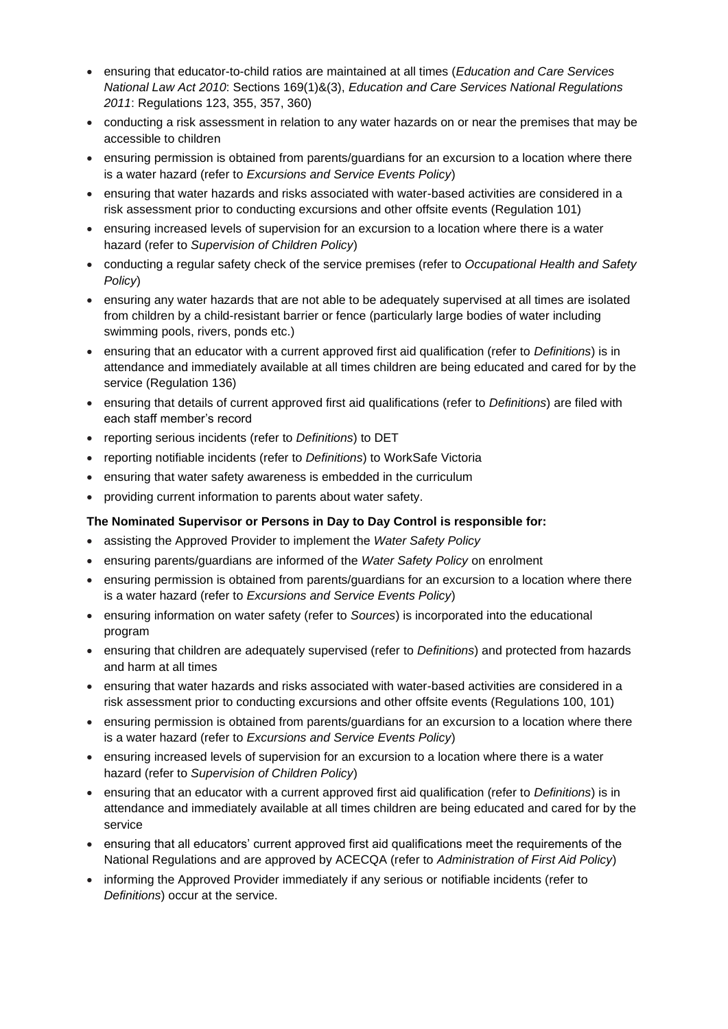- ensuring that educator-to-child ratios are maintained at all times (*Education and Care Services National Law Act 2010*: Sections 169(1)&(3), *Education and Care Services National Regulations 2011*: Regulations 123, 355, 357, 360)
- conducting a risk assessment in relation to any water hazards on or near the premises that may be accessible to children
- ensuring permission is obtained from parents/guardians for an excursion to a location where there is a water hazard (refer to *Excursions and Service Events Policy*)
- ensuring that water hazards and risks associated with water-based activities are considered in a risk assessment prior to conducting excursions and other offsite events (Regulation 101)
- ensuring increased levels of supervision for an excursion to a location where there is a water hazard (refer to *Supervision of Children Policy*)
- conducting a regular safety check of the service premises (refer to *Occupational Health and Safety Policy*)
- ensuring any water hazards that are not able to be adequately supervised at all times are isolated from children by a child-resistant barrier or fence (particularly large bodies of water including swimming pools, rivers, ponds etc.)
- ensuring that an educator with a current approved first aid qualification (refer to *Definitions*) is in attendance and immediately available at all times children are being educated and cared for by the service (Regulation 136)
- ensuring that details of current approved first aid qualifications (refer to *Definitions*) are filed with each staff member's record
- reporting serious incidents (refer to *Definitions*) to DET
- reporting notifiable incidents (refer to *Definitions*) to WorkSafe Victoria
- ensuring that water safety awareness is embedded in the curriculum
- providing current information to parents about water safety.

### **The Nominated Supervisor or Persons in Day to Day Control is responsible for:**

- assisting the Approved Provider to implement the *Water Safety Policy*
- ensuring parents/guardians are informed of the *Water Safety Policy* on enrolment
- ensuring permission is obtained from parents/guardians for an excursion to a location where there is a water hazard (refer to *Excursions and Service Events Policy*)
- ensuring information on water safety (refer to *Sources*) is incorporated into the educational program
- ensuring that children are adequately supervised (refer to *Definitions*) and protected from hazards and harm at all times
- ensuring that water hazards and risks associated with water-based activities are considered in a risk assessment prior to conducting excursions and other offsite events (Regulations 100, 101)
- ensuring permission is obtained from parents/guardians for an excursion to a location where there is a water hazard (refer to *Excursions and Service Events Policy*)
- ensuring increased levels of supervision for an excursion to a location where there is a water hazard (refer to *Supervision of Children Policy*)
- ensuring that an educator with a current approved first aid qualification (refer to *Definitions*) is in attendance and immediately available at all times children are being educated and cared for by the service
- ensuring that all educators' current approved first aid qualifications meet the requirements of the National Regulations and are approved by ACECQA (refer to *Administration of First Aid Policy*)
- informing the Approved Provider immediately if any serious or notifiable incidents (refer to *Definitions*) occur at the service.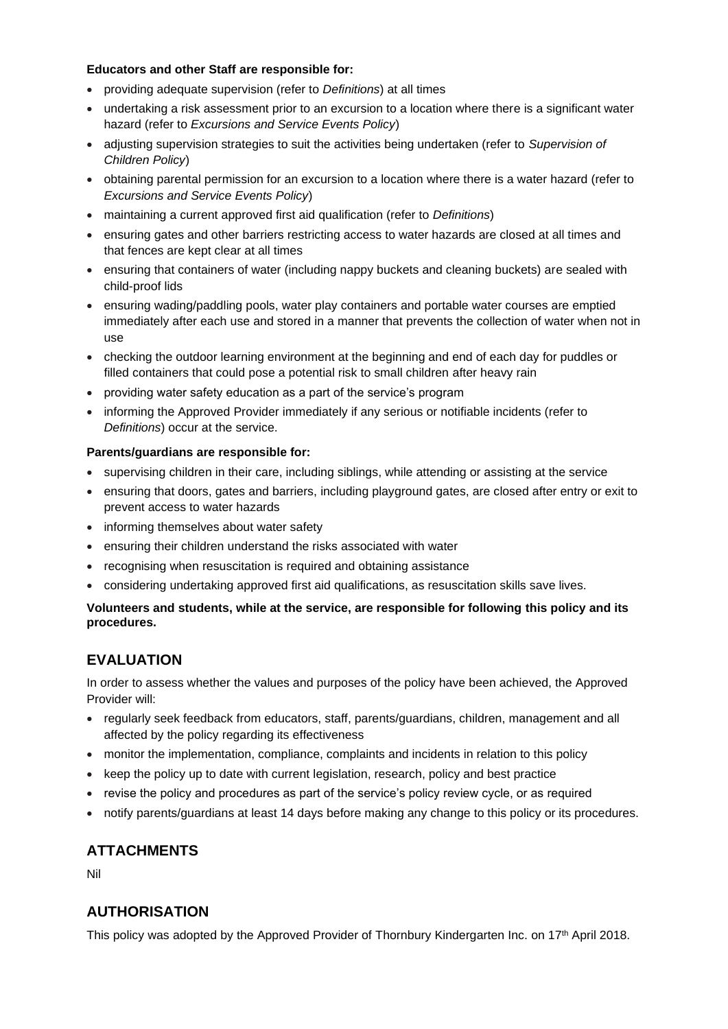### **Educators and other Staff are responsible for:**

- providing adequate supervision (refer to *Definitions*) at all times
- undertaking a risk assessment prior to an excursion to a location where there is a significant water hazard (refer to *Excursions and Service Events Policy*)
- adjusting supervision strategies to suit the activities being undertaken (refer to *Supervision of Children Policy*)
- obtaining parental permission for an excursion to a location where there is a water hazard (refer to *Excursions and Service Events Policy*)
- maintaining a current approved first aid qualification (refer to *Definitions*)
- ensuring gates and other barriers restricting access to water hazards are closed at all times and that fences are kept clear at all times
- ensuring that containers of water (including nappy buckets and cleaning buckets) are sealed with child-proof lids
- ensuring wading/paddling pools, water play containers and portable water courses are emptied immediately after each use and stored in a manner that prevents the collection of water when not in use
- checking the outdoor learning environment at the beginning and end of each day for puddles or filled containers that could pose a potential risk to small children after heavy rain
- providing water safety education as a part of the service's program
- informing the Approved Provider immediately if any serious or notifiable incidents (refer to *Definitions*) occur at the service.

### **Parents/guardians are responsible for:**

- supervising children in their care, including siblings, while attending or assisting at the service
- ensuring that doors, gates and barriers, including playground gates, are closed after entry or exit to prevent access to water hazards
- informing themselves about water safety
- ensuring their children understand the risks associated with water
- recognising when resuscitation is required and obtaining assistance
- considering undertaking approved first aid qualifications, as resuscitation skills save lives.

### **Volunteers and students, while at the service, are responsible for following this policy and its procedures.**

## **EVALUATION**

In order to assess whether the values and purposes of the policy have been achieved, the Approved Provider will:

- regularly seek feedback from educators, staff, parents/guardians, children, management and all affected by the policy regarding its effectiveness
- monitor the implementation, compliance, complaints and incidents in relation to this policy
- keep the policy up to date with current legislation, research, policy and best practice
- revise the policy and procedures as part of the service's policy review cycle, or as required
- notify parents/guardians at least 14 days before making any change to this policy or its procedures.

## **ATTACHMENTS**

Nil

## **AUTHORISATION**

This policy was adopted by the Approved Provider of Thornbury Kindergarten Inc. on 17<sup>th</sup> April 2018.